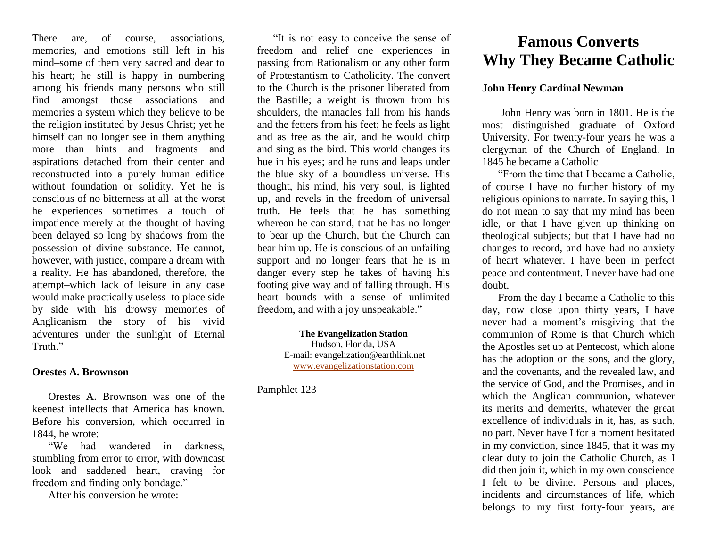There are, of course, associations, memories, and emotions still left in his mind–some of them very sacred and dear to his heart; he still is happy in numbering among his friends many persons who still find amongst those associations and memories a system which they believe to be the religion instituted by Jesus Christ; yet he himself can no longer see in them anything more than hints and fragments and aspirations detached from their center and reconstructed into a purely human edifice without foundation or solidity. Yet he is conscious of no bitterness at all–at the worst he experiences sometimes a touch of impatience merely at the thought of having been delayed so long by shadows from the possession of divine substance. He cannot, however, with justice, compare a dream with a reality. He has abandoned, therefore, the attempt–which lack of leisure in any case would make practically useless–to place side by side with his drowsy memories of Anglicanism the story of his vivid adventures under the sunlight of Eternal Truth<sup>"</sup>

#### **Orestes A. Brownson**

Orestes A. Brownson was one of the keenest intellects that America has known. Before his conversion, which occurred in 1844, he wrote:

"We had wandered in darkness, stumbling from error to error, with downcast look and saddened heart, craving for freedom and finding only bondage."

After his conversion he wrote:

"It is not easy to conceive the sense of freedom and relief one experiences in passing from Rationalism or any other form of Protestantism to Catholicity. The convert to the Church is the prisoner liberated from the Bastille; a weight is thrown from his shoulders, the manacles fall from his hands and the fetters from his feet; he feels as light and as free as the air, and he would chirp and sing as the bird. This world changes its hue in his eyes; and he runs and leaps under the blue sky of a boundless universe. His thought, his mind, his very soul, is lighted up, and revels in the freedom of universal truth. He feels that he has something whereon he can stand, that he has no longer to bear up the Church, but the Church can bear him up. He is conscious of an unfailing support and no longer fears that he is in danger every step he takes of having his footing give way and of falling through. His heart bounds with a sense of unlimited freedom, and with a joy unspeakable."

> **The Evangelization Station** Hudson, Florida, USA E-mail: evangelization@earthlink.net [www.evangelizationstation.com](http://www.pjpiisoe.org/)

Pamphlet 123

# **Famous Converts Why They Became Catholic**

### **John Henry Cardinal Newman**

John Henry was born in 1801. He is the most distinguished graduate of Oxford University. For twenty-four years he was a clergyman of the Church of England. In 1845 he became a Catholic

"From the time that I became a Catholic, of course I have no further history of my religious opinions to narrate. In saying this, I do not mean to say that my mind has been idle, or that I have given up thinking on theological subjects; but that I have had no changes to record, and have had no anxiety of heart whatever. I have been in perfect peace and contentment. I never have had one doubt.

From the day I became a Catholic to this day, now close upon thirty years, I have never had a moment's misgiving that the communion of Rome is that Church which the Apostles set up at Pentecost, which alone has the adoption on the sons, and the glory, and the covenants, and the revealed law, and the service of God, and the Promises, and in which the Anglican communion, whatever its merits and demerits, whatever the great excellence of individuals in it, has, as such, no part. Never have I for a moment hesitated in my conviction, since 1845, that it was my clear duty to join the Catholic Church, as I did then join it, which in my own conscience I felt to be divine. Persons and places, incidents and circumstances of life, which belongs to my first forty-four years, are